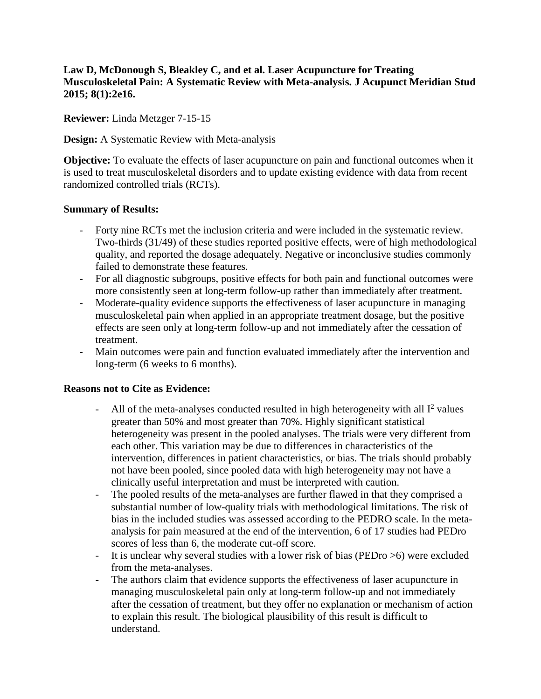## **Law D, McDonough S, Bleakley C, and et al. Laser Acupuncture for Treating Musculoskeletal Pain: A Systematic Review with Meta-analysis. J Acupunct Meridian Stud 2015; 8(1):2e16.**

**Reviewer:** Linda Metzger 7-15-15

**Design:** A Systematic Review with Meta-analysis

**Objective:** To evaluate the effects of laser acupuncture on pain and functional outcomes when it is used to treat musculoskeletal disorders and to update existing evidence with data from recent randomized controlled trials (RCTs).

## **Summary of Results:**

- Forty nine RCTs met the inclusion criteria and were included in the systematic review. Two-thirds (31/49) of these studies reported positive effects, were of high methodological quality, and reported the dosage adequately. Negative or inconclusive studies commonly failed to demonstrate these features.
- For all diagnostic subgroups, positive effects for both pain and functional outcomes were more consistently seen at long-term follow-up rather than immediately after treatment.
- Moderate-quality evidence supports the effectiveness of laser acupuncture in managing musculoskeletal pain when applied in an appropriate treatment dosage, but the positive effects are seen only at long-term follow-up and not immediately after the cessation of treatment.
- Main outcomes were pain and function evaluated immediately after the intervention and long-term (6 weeks to 6 months).

## **Reasons not to Cite as Evidence:**

- All of the meta-analyses conducted resulted in high heterogeneity with all  $I^2$  values greater than 50% and most greater than 70%. Highly significant statistical heterogeneity was present in the pooled analyses. The trials were very different from each other. This variation may be due to differences in characteristics of the intervention, differences in patient characteristics, or bias. The trials should probably not have been pooled, since pooled data with high heterogeneity may not have a clinically useful interpretation and must be interpreted with caution.
- The pooled results of the meta-analyses are further flawed in that they comprised a substantial number of low-quality trials with methodological limitations. The risk of bias in the included studies was assessed according to the PEDRO scale. In the metaanalysis for pain measured at the end of the intervention, 6 of 17 studies had PEDro scores of less than 6, the moderate cut-off score.
- It is unclear why several studies with a lower risk of bias (PEDro >6) were excluded from the meta-analyses.
- The authors claim that evidence supports the effectiveness of laser acupuncture in managing musculoskeletal pain only at long-term follow-up and not immediately after the cessation of treatment, but they offer no explanation or mechanism of action to explain this result. The biological plausibility of this result is difficult to understand.